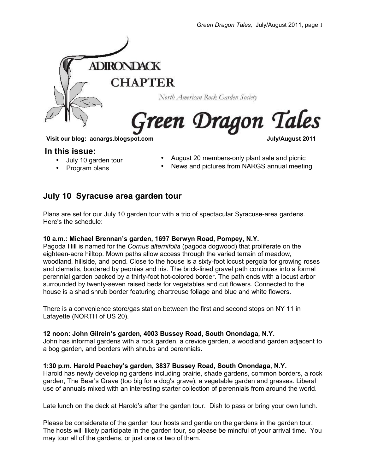

### **In this issue:**

• July 10 garden tour

• Program plans

- August 20 members-only plant sale and picnic
- News and pictures from NARGS annual meeting

### **July 10 Syracuse area garden tour**

Plans are set for our July 10 garden tour with a trio of spectacular Syracuse-area gardens. Here's the schedule:

### **10 a.m.: Michael Brennan's garden, 1697 Berwyn Road, Pompey, N.Y.**

Pagoda Hill is named for the *Cornus alternifolia* (pagoda dogwood) that proliferate on the eighteen-acre hilltop. Mown paths allow access through the varied terrain of meadow, woodland, hillside, and pond. Close to the house is a sixty-foot locust pergola for growing roses and clematis, bordered by peonies and iris. The brick-lined gravel path continues into a formal perennial garden backed by a thirty-foot hot-colored border. The path ends with a locust arbor surrounded by twenty-seven raised beds for vegetables and cut flowers. Connected to the house is a shad shrub border featuring chartreuse foliage and blue and white flowers.

There is a convenience store/gas station between the first and second stops on NY 11 in Lafayette (NORTH of US 20).

### **12 noon: John Gilrein's garden, 4003 Bussey Road, South Onondaga, N.Y.**

John has informal gardens with a rock garden, a crevice garden, a woodland garden adjacent to a bog garden, and borders with shrubs and perennials.

### **1:30 p.m. Harold Peachey's garden, 3837 Bussey Road, South Onondaga, N.Y.**

Harold has newly developing gardens including prairie, shade gardens, common borders, a rock garden, The Bear's Grave (too big for a dog's grave), a vegetable garden and grasses. Liberal use of annuals mixed with an interesting starter collection of perennials from around the world.

Late lunch on the deck at Harold's after the garden tour. Dish to pass or bring your own lunch.

Please be considerate of the garden tour hosts and gentle on the gardens in the garden tour. The hosts will likely participate in the garden tour, so please be mindful of your arrival time. You may tour all of the gardens, or just one or two of them.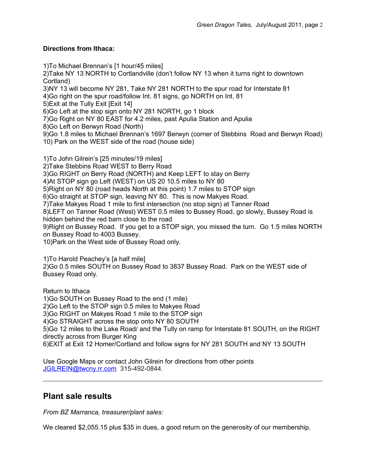### **Directions from Ithaca:**

1)To Michael Brennan's [1 hour/45 miles]

2)Take NY 13 NORTH to Cortlandville (don't follow NY 13 when it turns right to downtown Cortland)

3)NY 13 will become NY 281, Take NY 281 NORTH to the spur road for Interstate 81

4)Go right on the spur road/follow Int. 81 signs, go NORTH on Int. 81

5)Exit at the Tully Exit [Exit 14]

6)Go Left at the stop sign onto NY 281 NORTH, go 1 block

7)Go Right on NY 80 EAST for 4.2 miles, past Apulia Station and Apulia

8)Go Left on Berwyn Road (North)

9)Go 1.8 miles to Michael Brennan's 1697 Berwyn (corner of Stebbins Road and Berwyn Road) 10) Park on the WEST side of the road (house side)

1)To John Gilrein's [25 minutes/19 miles] 2)Take Stebbins Road WEST to Berry Road 3)Go RIGHT on Berry Road (NORTH) and Keep LEFT to stay on Berry 4)At STOP sign go Left (WEST) on US 20 10.5 miles to NY 80 5)Right on NY 80 (road heads North at this point) 1.7 miles to STOP sign 6)Go straight at STOP sign, leaving NY 80. This is now Makyes Road. 7)Take Makyes Road 1 mile to first intersection (no stop sign) at Tanner Road 8)LEFT on Tanner Road (West) WEST 0.5 miles to Bussey Road, go slowly, Bussey Road is hidden behind the red barn close to the road 9)Right on Bussey Road. If you get to a STOP sign, you missed the turn. Go 1.5 miles NORTH on Bussey Road to 4003 Bussey.

10)Park on the West side of Bussey Road only.

1)To Harold Peachey's [a half mile]

2)Go 0.5 miles SOUTH on Bussey Road to 3837 Bussey Road. Park on the WEST side of Bussey Road only.

Return to Ithaca 1)Go SOUTH on Bussey Road to the end (1 mile) 2)Go Left to the STOP sign 0.5 miles to Makyes Road 3)Go RIGHT on Makyes Road 1 mile to the STOP sign 4)Go STRAIGHT across the stop onto NY 80 SOUTH 5)Go 12 miles to the Lake Road/ and the Tully on ramp for Interstate 81 SOUTH, on the RIGHT directly across from Burger King 6)EXIT at Exit 12 Homer/Cortland and follow signs for NY 281 SOUTH and NY 13 SOUTH

Use Google Maps or contact John Gilrein for directions from other points [JGILREIN@twcny.rr.com](mailto:JGILREIN@twcny.rr.com) 315-492-0844.

## **Plant sale results**

*From BZ Marranca, treasurer/plant sales:*

We cleared \$2,055.15 plus \$35 in dues, a good return on the generosity of our membership.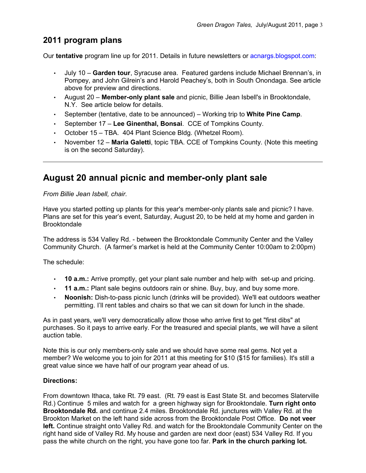## **2011 program plans**

Our **tentative** program line up for 2011. Details in future newsletters or acnargs.blogspot.com:

- July 10 **Garden tour**, Syracuse area. Featured gardens include Michael Brennan's, in Pompey, and John Gilrein's and Harold Peachey's, both in South Onondaga. See article above for preview and directions.
- August 20 **Member-only plant sale** and picnic, Billie Jean Isbell's in Brooktondale, N.Y. See article below for details.
- September (tentative, date to be announced) Working trip to **White Pine Camp**.
- September 17 **Lee Ginenthal, Bonsai**. CCE of Tompkins County.
- October 15 TBA. 404 Plant Science Bldg. (Whetzel Room).
- November 12 **Maria Galetti**, topic TBA. CCE of Tompkins County. (Note this meeting is on the second Saturday).

## **August 20 annual picnic and member-only plant sale**

*From Billie Jean Isbell, chair.*

Have you started potting up plants for this year's member-only plants sale and picnic? I have. Plans are set for this year's event, Saturday, August 20, to be held at my home and garden in Brooktondale

The address is 534 Valley Rd. - between the Brooktondale Community Center and the Valley Community Church. (A farmer's market is held at the Community Center 10:00am to 2:00pm)

The schedule:

- **10 a.m.:** Arrive promptly, get your plant sale number and help with set-up and pricing.
- **11 a.m.:** Plant sale begins outdoors rain or shine. Buy, buy, and buy some more.
- **Noonish:** Dish-to-pass picnic lunch (drinks will be provided). We'll eat outdoors weather permitting. I'll rent tables and chairs so that we can sit down for lunch in the shade.

As in past years, we'll very democratically allow those who arrive first to get "first dibs" at purchases. So it pays to arrive early. For the treasured and special plants, we will have a silent auction table.

Note this is our only members-only sale and we should have some real gems. Not yet a member? We welcome you to join for 2011 at this meeting for \$10 (\$15 for families). It's still a great value since we have half of our program year ahead of us.

### **Directions:**

From downtown Ithaca, take Rt. 79 east. (Rt. 79 east is East State St. and becomes Slaterville Rd.) Continue 5 miles and watch for a green highway sign for Brooktondale. **Turn right onto Brooktondale Rd.** and continue 2.4 miles. Brooktondale Rd. junctures with Valley Rd. at the Brookton Market on the left hand side across from the Brooktondale Post Office. **Do not veer left.** Continue straight onto Valley Rd. and watch for the Brooktondale Community Center on the right hand side of Valley Rd. My house and garden are next door (east) 534 Valley Rd. If you pass the white church on the right, you have gone too far. **Park in the church parking lot.**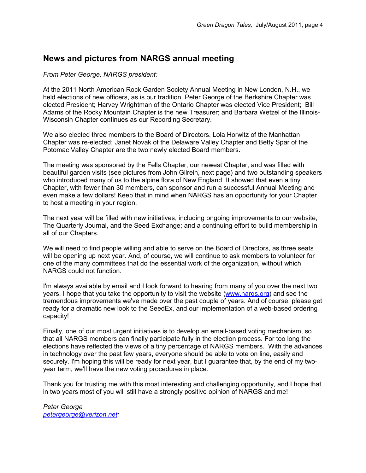### **News and pictures from NARGS annual meeting**

#### *From Peter George, NARGS president:*

At the 2011 North American Rock Garden Society Annual Meeting in New London, N.H., we held elections of new officers, as is our tradition. Peter George of the Berkshire Chapter was elected President; Harvey Wrightman of the Ontario Chapter was elected Vice President; Bill Adams of the Rocky Mountain Chapter is the new Treasurer; and Barbara Wetzel of the Illinois-Wisconsin Chapter continues as our Recording Secretary.

We also elected three members to the Board of Directors. Lola Horwitz of the Manhattan Chapter was re-elected; Janet Novak of the Delaware Valley Chapter and Betty Spar of the Potomac Valley Chapter are the two newly elected Board members.

The meeting was sponsored by the Fells Chapter, our newest Chapter, and was filled with beautiful garden visits (see pictures from John Gilrein, next page) and two outstanding speakers who introduced many of us to the alpine flora of New England. It showed that even a tiny Chapter, with fewer than 30 members, can sponsor and run a successful Annual Meeting and even make a few dollars! Keep that in mind when NARGS has an opportunity for your Chapter to host a meeting in your region.

The next year will be filled with new initiatives, including ongoing improvements to our website, The Quarterly Journal, and the Seed Exchange; and a continuing effort to build membership in all of our Chapters.

We will need to find people willing and able to serve on the Board of Directors, as three seats will be opening up next year. And, of course, we will continue to ask members to volunteer for one of the many committees that do the essential work of the organization, without which NARGS could not function.

I'm always available by email and I look forward to hearing from many of you over the next two years. I hope that you take the opportunity to visit the website [\(www.nargs.org\)](http://www.nargs.org/) and see the tremendous improvements we've made over the past couple of years. And of course, please get ready for a dramatic new look to the SeedEx, and our implementation of a web-based ordering capacity!

Finally, one of our most urgent initiatives is to develop an email-based voting mechanism, so that all NARGS members can finally participate fully in the election process. For too long the elections have reflected the views of a tiny percentage of NARGS members. With the advances in technology over the past few years, everyone should be able to vote on line, easily and securely. I'm hoping this will be ready for next year, but I guarantee that, by the end of my twoyear term, we'll have the new voting procedures in place.

Thank you for trusting me with this most interesting and challenging opportunity, and I hope that in two years most of you will still have a strongly positive opinion of NARGS and me!

*Peter George [petergeorge@verizon.net:](mailto:petergeorge@verizon.net)*